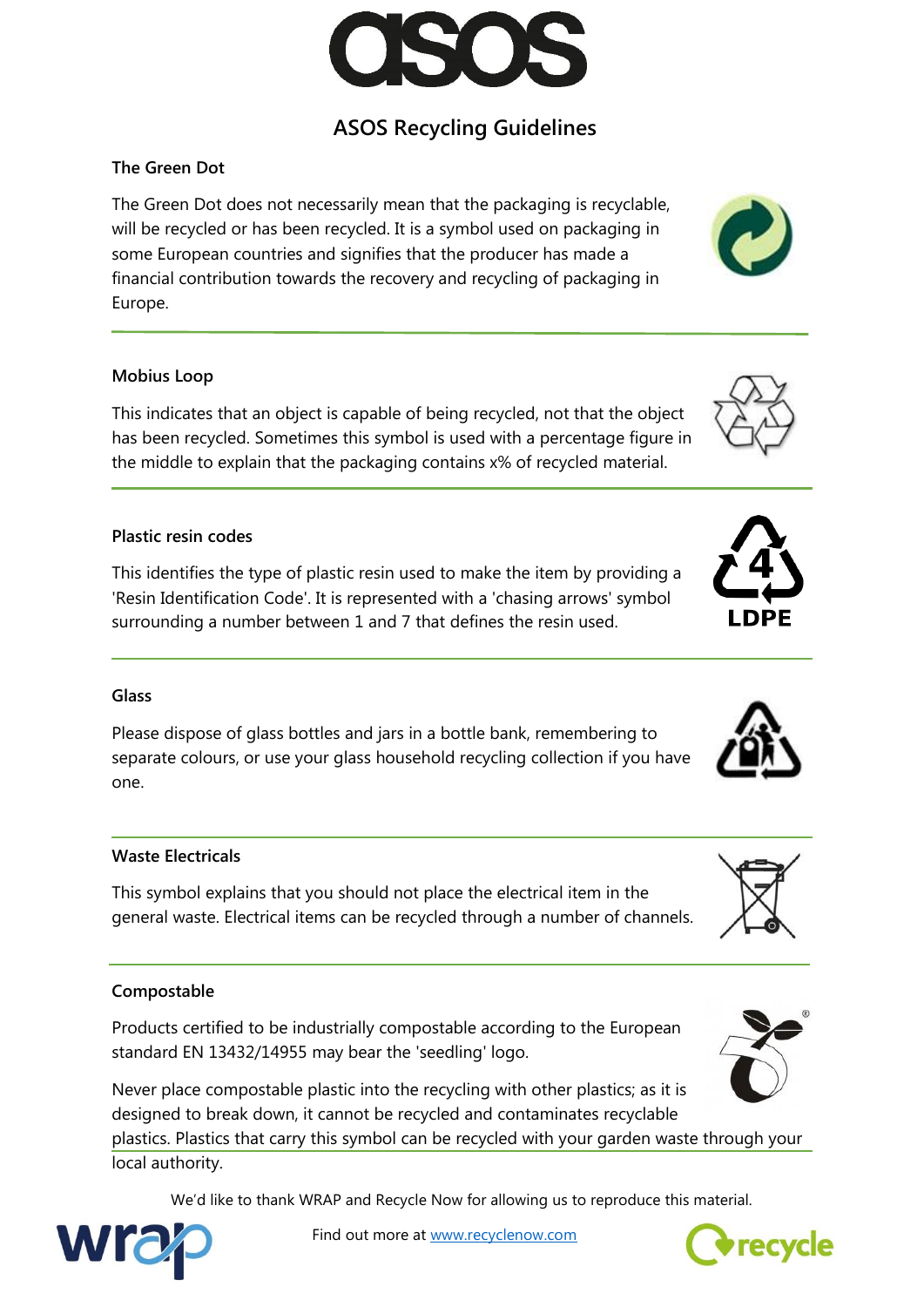

# **ASOS Recycling Guidelines**

## **The Green Dot**

The Green Dot does not necessarily mean that the packaging is recyclable, will be recycled or has been recycled. It is a symbol used on packaging in some European countries and signifies that the producer has made a financial contribution towards the recovery and recycling of packaging in Europe.

## **Mobius Loop**

This indicates that an object is capable of being recycled, not that the object has been recycled. Sometimes this symbol is used with a percentage figure in the middle to explain that the packaging contains x% of recycled material.

## **Plastic resin codes**

This identifies the type of plastic resin used to make the item by providing a 'Resin Identification Code'. It is represented with a 'chasing arrows' symbol surrounding a number between 1 and 7 that defines the resin used.

#### **Glass**

Please dispose of glass bottles and jars in a bottle bank, remembering to separate colours, or use your glass household recycling collection if you have one.

#### **Waste Electricals**

This symbol explains that you should not place the electrical item in the general waste. Electrical items can be recycled through a number of channels.

#### **Compostable**

Products certified to be industrially compostable according to the European standard EN 13432/14955 may bear the 'seedling' logo.

Never place compostable plastic into the recycling with other plastics; as it is designed to break down, it cannot be recycled and contaminates recyclable

plastics. Plastics that carry this symbol can be recycled with your garden waste through your local authority.

We'd like to thank WRAP and Recycle Now for allowing us to reproduce this material.